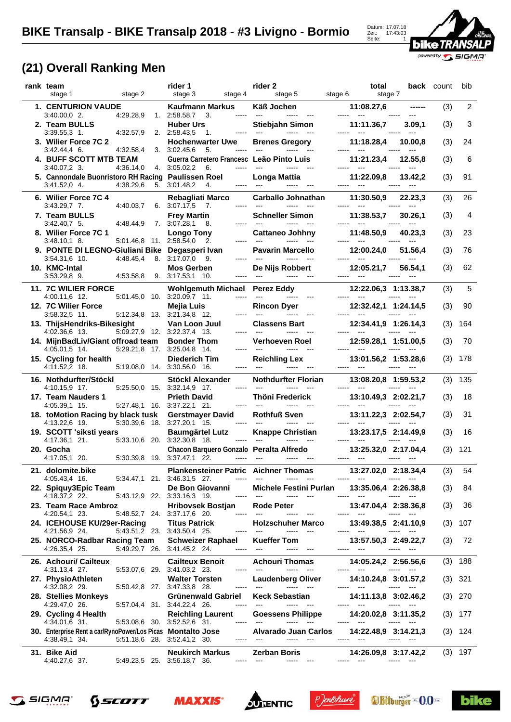

## **(21) Overall Ranking Men**

| rank team<br>stage 2<br>stage 1                                                                          | rider 1<br>stage 3<br>stage 4                                                                            | rider 2<br>stage 5<br>stage 6                                                                                                                         | total<br>stage 7                                                                                                                         | <b>back</b> count |     | bib            |
|----------------------------------------------------------------------------------------------------------|----------------------------------------------------------------------------------------------------------|-------------------------------------------------------------------------------------------------------------------------------------------------------|------------------------------------------------------------------------------------------------------------------------------------------|-------------------|-----|----------------|
| 1. CENTURION VAUDE<br>4:29.28,9                                                                          | <b>Kaufmann Markus</b><br>3.<br>-----                                                                    | <b>Käß Jochen</b>                                                                                                                                     | 11:08.27,6                                                                                                                               |                   | (3) | $\overline{2}$ |
| $3:40.00,0$ 2.<br>2. Team BULLS<br>4:32.57,9                                                             | 1. 2:58.58.7<br><b>Huber Urs</b>                                                                         | Stiebjahn Simon                                                                                                                                       | 11:11.36,7                                                                                                                               | 3.09,1            | (3) | 3              |
| $3:39.55,3$ 1.<br>3. Wilier Force 7C 2                                                                   | 2. 2:58.43,5<br>1.<br><b>Hochenwarter Uwe</b><br>3.3:02.45.6<br>-----                                    | <b>Brenes Gregory</b><br>$\overline{a}$<br>-----<br>$\sim$                                                                                            | 11:18.28,4<br>-----<br>$---$                                                                                                             | 10.00,8           | (3) | 24             |
| $3:42.44,4$ 6.<br>4:32.58,4<br>4. BUFF SCOTT MTB TEAM<br>4:36.14,0                                       | 5.<br>Guerra Carretero Francesc Leão Pinto Luis<br>4. 3:05.02,2 6.<br>-----                              |                                                                                                                                                       | 11:21.23,4                                                                                                                               | 12.55,8           | (3) | 6              |
| $3:40.07,2$ 3.<br>5. Cannondale Buonristoro RH Racing Paulissen Roel<br>4:38.29,6<br>3:41.52,0 4.        | 5. 3:01.48,2<br>4.                                                                                       | <b>Longa Mattia</b>                                                                                                                                   | 11:22.09,8                                                                                                                               | 13.42,2           | (3) | 91             |
| 6. Wilier Force 7C 4<br>4:40.03,7<br>$3:43.29,7$ 7.                                                      | Rebagliati Marco<br>6.3:07.17,5<br>7.                                                                    | <b>Carballo Johnathan</b><br>-----                                                                                                                    | 11:30.50,9                                                                                                                               | 22.23,3           | (3) | 26             |
| 7. Team BULLS<br>$3:42.40,7$ 5.<br>4:48.44,9                                                             | <b>Frey Martin</b><br>$7.3:07.28,1$ 8.<br>-----                                                          | <b>Schneller Simon</b><br>$-$<br>$\overline{a}$                                                                                                       | 11:38.53,7<br>-----                                                                                                                      | 30.26,1           | (3) | 4              |
| 8. Willer Force 7C 1<br>5:01.46,8 11. 2:58.54,0<br>$3:48.10,1$ 8.                                        | <b>Longo Tony</b><br>2.<br>-----                                                                         | <b>Cattaneo Johhny</b><br>$\overline{a}$                                                                                                              | 11:48.50.9                                                                                                                               | 40.23,3           | (3) | 23             |
| 9. PONTE DI LEGNO-Giuliani Bike Degasperi Ivan<br>$3:54.31,6$ 10.<br>4:48.45,4                           | 8. 3:17.07.0<br>9.                                                                                       | <b>Pavarin Marcello</b>                                                                                                                               | 12:00.24.0                                                                                                                               | 51.56,4           | (3) | 76             |
| 10. KMC-Intal<br>3:53.29,8 9.<br>4:53.58,8                                                               | <b>Mos Gerben</b><br>9. 3:17.53,1 10.                                                                    | De Nijs Robbert<br>$- - - - -$                                                                                                                        | 12:05.21,7<br>$\frac{1}{2}$                                                                                                              | 56.54,1           | (3) | 62             |
| <b>11. 7C WILIER FORCE</b>                                                                               | <b>Wohlgemuth Michael</b>                                                                                | <b>Perez Eddy</b>                                                                                                                                     | 12:22.06,3 1:13.38,7                                                                                                                     |                   | (3) | 5              |
| 4:00.11,6 12.<br>12. 7C Wilier Force                                                                     | 5:01.45.0 10. 3:20.09.7 11.<br>-----<br>Mejia Luis                                                       | $\overline{\phantom{a}}$<br><b>Rincon Dver</b>                                                                                                        | 12:32.42,1 1:24.14,5                                                                                                                     |                   | (3) | 90             |
| 3:58.32,5 11.<br>13. ThijsHendriks-Bikesight                                                             | 5:12.34,8 13. 3:21.34,8 12.<br>-----<br>Van Loon Juul                                                    | $---$<br><b>Classens Bart</b>                                                                                                                         | 12:34.41,9 1:26.14,3                                                                                                                     |                   | (3) | 164            |
| 4:02.36.6 13.<br>5:09.27,9 12. 3:22.37,4 13.<br>14. MijnBadLiv/Giant offroad team                        | <b>Bonder Thom</b>                                                                                       | Verhoeven Roel                                                                                                                                        | 12:59.28,1 1:51.00,5                                                                                                                     |                   | (3) | 70             |
| 5:29.21,8 17.<br>4:05.01,5 14.<br>15. Cycling for health<br>4:11.52,2 18.<br>5:19.08,0 14. 3:30.56,0 16. | 3:25.04,8 14.<br>-----<br><b>Diederich Tim</b><br>-----                                                  | <b>Reichling Lex</b><br>$- - - - -$                                                                                                                   | 13:01.56,2 1:53.28,6                                                                                                                     |                   | (3) | 178            |
|                                                                                                          |                                                                                                          |                                                                                                                                                       |                                                                                                                                          |                   |     |                |
| 16. Nothdurfter/Stöckl                                                                                   | Stöckl Alexander                                                                                         | <b>Nothdurfter Florian</b>                                                                                                                            | 13:08.20,8 1:59.53,2                                                                                                                     |                   | (3) | 135            |
| 4:10.15,9 17.<br>17. Team Nauders 1                                                                      | 5:25.50,0 15. 3:32.14,9 17.<br>-----<br><b>Prieth David</b>                                              | $\sim$<br>$\overline{a}$<br>$\overline{a}$<br>Thöni Frederick                                                                                         | $---$<br>13:10.49,3 2:02.21,7                                                                                                            |                   | (3) | 18             |
| 4:05.39,1 15.<br>18. toMotion Racing by black tusk                                                       | 5:27.48,1 16. 3:37.22,1 21.<br>-----<br><b>Gerstmayer David</b>                                          | <b>Rothfuß Sven</b>                                                                                                                                   | 13:11.22,3 2:02.54,7                                                                                                                     |                   | (3) | 31             |
| 5:30.39,6 18. 3:27.20,1 15.<br>4:13.22,6 19.<br>19. SCOTT 'siksti years                                  | -----<br><b>Baumgärtel Lutz</b>                                                                          | $\begin{array}{ccc} - & - & - \\ - & - & - \end{array}$<br><b>Knappe Christian</b>                                                                    | 13:23.17,5 2:14.49,9                                                                                                                     |                   | (3) | 16             |
| 5:33.10,6 20. 3:32.30,8 18.<br>4:17.36,1 21.<br>20. Gocha                                                | Chacon Barquero Gonzalo Peralta Alfredo                                                                  |                                                                                                                                                       | 13:25.32,0 2:17.04,4                                                                                                                     |                   | (3) | 121            |
| 4:17.05,1 20.<br>5:30.39,8 19. 3:37.47,1 22.<br>21. dolomite.bike                                        | <b>Plankensteiner Patric Aichner Thomas</b>                                                              |                                                                                                                                                       | 13:27.02,0 2:18.34,4                                                                                                                     |                   | (3) | 54             |
| 4:05.43,4 16.<br>22. Spiquy3Epic Team                                                                    | 5:34.47,1 21. 3:46.31,5 27.<br>$-----1$<br>De Bon Giovanni                                               | $---$<br>Michele Festini Purlan                                                                                                                       | 13:35.06,4 2:26.38,8                                                                                                                     |                   | (3) | 84             |
| 4:18.37,2 22.<br>23. Team Race Ambroz                                                                    | 5:43.12,9 22. 3:33.16,3 19.<br>-----<br><b>Hribovsek Bostjan</b>                                         | $\hspace{0.05cm} \ldots$<br>Rode Peter                                                                                                                | $- - - - -$<br>13:47.04,4 2:38.36,8                                                                                                      |                   | (3) | 36             |
| 4:20.54,1 23.<br>24. ICEHOUSE KU/29er-Racing                                                             | 5:48.52,7 24. 3:37.17,6 20.<br>-----<br><b>Titus Patrick</b>                                             | $\overline{a}$<br>-----<br>$\qquad \qquad -\qquad$<br><b>Holzschuher Marco</b>                                                                        | $\cdots$<br>13:49.38,5 2:41.10,9                                                                                                         |                   | (3) | 107            |
| 4:21.56,9 24.<br>25. NORCO-Radbar Racing Team<br>4:26.35,4 25.                                           | 5:43.51,2 23. 3:43.50,4 25.<br>-----<br><b>Schweizer Raphael</b><br>5:49.29,7 26. 3:41.45,2 24.<br>----- | $\cdots$<br>$---$<br>$\overline{\phantom{a}}$<br><b>Kueffer Tom</b><br>$\frac{1}{2}$<br>$\begin{array}{ccc} -\text{const} & \text{const} \end{array}$ | <b><i><u>PARADO</u></i></b><br>13:57.50,3 2:49.22,7<br>----- ---<br>$\cdots \cdots \cdots$                                               |                   | (3) | 72             |
| 26. Achouri/ Cailteux                                                                                    | <b>Cailteux Benoit</b>                                                                                   | <b>Achouri Thomas</b>                                                                                                                                 | 14:05.24,2 2:56.56,6                                                                                                                     |                   |     | $(3)$ 188      |
| 4:31.13,4 27.<br>27. PhysioAthleten                                                                      | 5:53.07,6 29. 3:41.03,2 23.<br><b>Walter Torsten</b>                                                     | $\cdots$<br>$\sim$<br><b>Laudenberg Oliver</b><br>$\sim$                                                                                              | <b><i><u>Press Park</u></i></b><br>$\cdots \cdots$<br>14:10.24,8 3:01.57,2<br>-----<br>-----                                             |                   |     | $(3)$ 321      |
| 4:32.08,2 29.<br>28. Stellies Monkeys                                                                    | 5:50.42,8 27. 3:47.33,8 28.<br>-----<br><b>Grünenwald Gabriel</b>                                        | $\begin{array}{ccc} \texttt{} & \texttt{} & \texttt{} \end{array}$<br><b>Keck Sebastian</b>                                                           | $\sim$ 0.000 $\mu$<br>14:11.13,8 3:02.46,2<br>-----                                                                                      | ----              | (3) | 270            |
| 5:57.04,4 31. 3:44.22,4 26.<br>4:29.47,0 26.<br>29. Cycling 4 Health                                     | -----<br><b>Reichling Laurent</b>                                                                        | <b>Goessens Philippe</b>                                                                                                                              | 14:20.02,8 3:11.35,2<br>$\sim$ $\sim$                                                                                                    |                   |     | $(3)$ 177      |
| 4:34.01,6 31.<br>30. Enterprise Rent a car/RynoPower/Los Picas Montalto Jose                             | 5:53.08,6 30. 3:52.52,6 31.<br>-----<br>-----                                                            | $\sim$<br>-----<br>Alvarado Juan Carlos<br>$\sim$ $-$<br>$\cdots \cdots \cdots$                                                                       | 14:22.48,9 3:14.21,3                                                                                                                     |                   |     | $(3)$ 124      |
| 4:38.49,1 34.<br>5:51.18,6 28. 3:52.41,2 30.<br>31. Bike Aid<br>4:40.27,6 37.                            | <b>Neukirch Markus</b><br>5:49.23,5 25. 3:56.18,7 36.<br>-----                                           | $\frac{1}{2}$<br><b>Zerban Boris</b><br>$\sim$ $\sim$<br>-----<br>$\scriptstyle\cdots$                                                                | -----<br>$\hspace{0.05cm} \ldots$<br>14:26.09,8 3:17.42,2<br>$\begin{array}{ccc} \texttt{} & \texttt{} & \texttt{} \end{array}$<br>----- |                   |     | $(3)$ 197      |













**bike**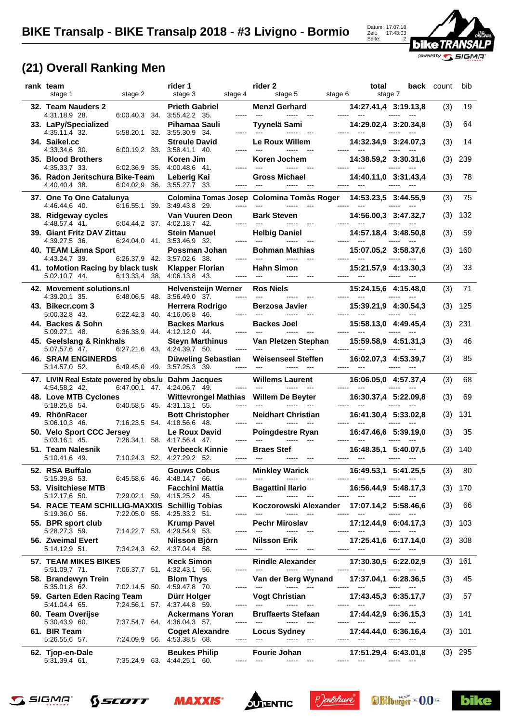

## **(21) Overall Ranking Men**

| rank team<br>stage 1                                                   | stage 2                                                    | rider 1<br>stage 3<br>stage 4              | rider 2<br>stage 5<br>stage 6                                                          | total<br>stage 7                                                    |                        | back count | bib       |
|------------------------------------------------------------------------|------------------------------------------------------------|--------------------------------------------|----------------------------------------------------------------------------------------|---------------------------------------------------------------------|------------------------|------------|-----------|
| 32. Team Nauders 2                                                     |                                                            | <b>Prieth Gabriel</b><br>$\frac{1}{2}$     | <b>Menzl Gerhard</b><br>---                                                            | 14:27.41,4 3:19.13,8                                                |                        | (3)        | 19        |
| 4:31.18,9 28.<br>33. LaPy/Specialized                                  | $6.00.40,3$ 34. $3.55.42,2$ 35.                            | Pihamaa Sauli                              | Tyynelä Sami<br>-----                                                                  | 14:29.02,4 3:20.34,8                                                |                        | (3)        | 64        |
| 4:35.11,4 32.<br>34. Saikel.cc                                         | 5:58.20,1 32. 3:55.30,9 34.                                | <b>Streule David</b><br>-----              | Le Roux Willem<br>$\overline{a}$                                                       | 14:32.34.9 3:24.07.3                                                |                        | (3)        | 14        |
| 4:33.34,6 30.<br>35. Blood Brothers                                    | $6.00.19,2$ 33. 3.58.41,1 40.                              | Koren Jim                                  | -----<br>Koren Jochem                                                                  | 14:38.59,2 3:30.31,6                                                |                        | (3)        | 239       |
| 4:35.33,7 33.<br>36. Radon Jentschura Bike-Team<br>4:40.40,4 38.       | 6:02.36,9 35. 4:00.48,6 41.<br>6:04.02,9 36. 3:55.27,7 33. | Leberig Kai                                | <b>Gross Michael</b>                                                                   | 14:40.11,0 3:31.43,4                                                |                        | (3)        | 78        |
| 37. One To One Catalunya<br>4:46.44,6 40.                              | 6:16.55,1 39. 3:49.43,8 29.                                | $\cdots$                                   | Colomina Tomas Josep Colomina Tomàs Roger<br>-----<br>$\sim$ $\sim$ $\sim$             | 14:53.23,5 3:44.55,9                                                |                        | (3)        | 75        |
| 38. Ridgeway cycles<br>4:48.57,4 41.                                   | 6.04.44,2 37. 4.02.18,7 42.                                | Van Vuuren Deon<br>-----                   | <b>Bark Steven</b><br>$\qquad \qquad - -$                                              | 14:56.00,3 3:47.32,7                                                |                        | (3)        | 132       |
| 39. Giant Fritz DAV Zittau<br>4:39.27,5 36.                            | 6:24.04,0 41. 3:53.46,9 32.                                | <b>Stein Manuel</b><br>-----               | <b>Helbig Daniel</b>                                                                   | 14:57.18,4 3:48.50,8                                                |                        | (3)        | 59        |
| 40. TEAM Länna Sport<br>4:43.24,7 39.                                  | 6:26.37,9 42. 3:57.02,6 38.                                | Possman Johan<br>-----                     | <b>Bohman Mathias</b>                                                                  | 15:07.05.2 3:58.37.6                                                |                        | (3)        | 160       |
| 41. toMotion Racing by black tusk<br>5:02.10,7 44.                     | 6:13.33,4 38.                                              | <b>Klapper Florian</b><br>4:06.13.8 43.    | <b>Hahn Simon</b>                                                                      | 15:21.57.9 4:13.30.3                                                |                        | (3)        | 33        |
| 42. Movement solutions.nl                                              |                                                            | <b>Helvensteijn Werner</b>                 | <b>Ros Niels</b>                                                                       | 15:24.15,6 4:15.48,0                                                |                        | (3)        | 71        |
| 4:39.20,1 35.<br>43. Bikecr.com 3                                      | 6:48.06,5 48. 3:56.49,0 37.                                | -----<br>Herrera Rodrigo                   | $  -$<br><b>Berzosa Javier</b>                                                         | 15:39.21,9 4:30.54,3                                                |                        | (3)        | 125       |
| 5:00.32,8 43.<br>44. Backes & Sohn                                     | 6.22.42,3 40. 4:16.06,8 46.                                | -----<br><b>Backes Markus</b>              | <b>Backes Joel</b>                                                                     | 15:58.13,0 4:49.45,4                                                |                        | (3)        | 231       |
| 5:09.27,1 48.<br>45. Geelslang & Rinkhals                              | 6:36.33,9 44. 4:12.12,0 44.                                | -----<br><b>Steyn Marthinus</b>            | Van Pletzen Stephan                                                                    | 15:59.58,9 4:51.31,3                                                |                        | (3)        | 46        |
| 5:07.57,6 47.<br><b>46. SRAM ENGINERDS</b>                             | 6:27.21,6 43. 4:24.39,7 50.                                | -----<br>Düweling Sebastian                | $\sim$ $\sim$ $\sim$<br>----- ---<br>-----<br><b>Weisenseel Steffen</b>                | 16:02.07,3 4:53.39,7                                                | ------                 | (3)        | 85        |
| 5:14.57,0 52.<br>47. LIVIN Real Estate powered by obs. Iu Dahm Jacques | 6:49.45,0 49. 3:57.25,3 39.                                | -----                                      | $---$<br>----- ---<br><b>Willems Laurent</b>                                           | 16:06.05,0 4:57.37,4                                                |                        | (3)        | 68        |
| 4:54.58,2 42.<br>48. Love MTB Cyclones                                 | 6:47.00,1 47. 4:24.06,7 49.                                | $- - - - -$<br><b>Wittevrongel Mathias</b> | <b>Willem De Beyter</b>                                                                | 16:30.37,4 5:22.09,8                                                |                        | (3)        | 69        |
| 5:18.25,8 54.<br>49. RhönRacer                                         | 6:40.58,5 45. 4:31.13,1 55.                                | -----<br><b>Bott Christopher</b>           | -----<br><b>Neidhart Christian</b>                                                     | 16:41.30,4 5:33.02,8                                                |                        | (3)        | 131       |
| 5:06.10,3 46.<br>50. Velo Sport CCC Jersey                             | 7:16.23,5 54. 4:18.56,6 48.                                | Le Roux David                              | Poingdestre Ryan                                                                       | 16:47.46,6 5:39.19,0                                                |                        | (3)        | 35        |
| 5:03.16,1 45.<br>51.  Team Nalesnik                                    | 7:26.34,1 58. 4:17.56,4 47.                                | <b>Verbeeck Kinnie</b>                     | <b>Braes Stef</b>                                                                      | 16:48.35,1 5:40.07,5                                                |                        | (3)        | 140       |
| 5:10.41,6 49.                                                          | 7:10.24,3 52. 4:27.29,2 52.                                |                                            | $\overline{a}$                                                                         | $\frac{1}{2}$                                                       |                        |            |           |
| 52. RSA Buffalo<br>5:15.39,8 53.                                       | 6:45.58,6 46. 4:48.14,7 66.                                | <b>Gouws Cobus</b>                         | <b>Minkley Warick</b><br>$\sim$ $\sim$ $\sim$                                          | 16:49.53,1 5:41.25,5<br>$\sim$ $\sim$ $\sim$                        | $\cdots$               | (3)        | 80        |
| 53. Visitchiese MTB<br>5:12.17,6 50.                                   | 7:29.02,1 59. 4:15.25,2 45.                                | <b>Facchini Mattia</b>                     | <b>Bagattini Ilario</b><br>$\qquad \qquad - -$<br>$\overline{\phantom{a}}$<br>$\cdots$ | 16:56.44,9 5:48.17,3                                                | $- - - - -$            | (3)        | 170       |
| 54. RACE TEAM SCHILLIG-MAXXIS Schillig Tobias<br>5:19.36,0 56.         | 7:22.05,0 55. 4:25.33,2 51.                                | -----                                      | Koczorowski Alexander<br>$\sim$ $\sim$ $\sim$<br>$\sim$ $\sim$<br>-----                | 17:07.14,2 5:58.46,6<br>$\sim$<br>-----                             |                        | (3)        | 66        |
| 55. BPR sport club<br>5:28.27,3 59.                                    | 7:14.22,7 53. 4:29.54,9 53.                                | <b>Krump Pavel</b>                         | Pechr Miroslav                                                                         | 17:12.44,9 6:04.17,3                                                |                        | (3)        | 103       |
| 56. Zweimal Evert<br>5:14.12,9 51.                                     | 7:34.24,3 62. 4:37.04,4 58.                                | Nilsson Björn                              | Nilsson Erik                                                                           | 17:25.41,6 6:17.14,0<br>----- ---                                   |                        | (3)        | 308       |
| <b>57. TEAM MIKES BIKES</b><br>5:51.09,7 71.                           | 7:06.37,7 51. 4:32.43,1 56.                                | <b>Keck Simon</b>                          | <b>Rindle Alexander</b><br>$\sim$ $\sim$ $\sim$<br>$\cdots$                            | 17:30.30,5 6:22.02,9<br><b><i><u>Paradonian Paradonian </u></i></b> |                        |            | $(3)$ 161 |
| 58. Brandewyn Trein<br>5:35.01,8 62.                                   | 7:02.14,5 50. 4:59.47,8 70.                                | <b>Blom Thys</b>                           | Van der Berg Wynand<br>$\sim$ $\sim$<br>-----<br>$\sim$                                | 17:37.04,1 6:28.36,5<br>----- ---                                   | ----- ---              | (3)        | 45        |
| 59. Garten Eden Racing Team<br>5:41.04,4 65.                           | 7:24.56,1 57. 4:37.44,8 59.                                | Dürr Holger                                | <b>Vogt Christian</b><br>$\scriptstyle \cdots$                                         | 17:43.45,3 6:35.17,7<br>$\frac{1}{2}$                               |                        | (3)        | 57        |
| 60. Team Overijse<br>5:30.43,9 60.                                     | 7:37.54,7 64. 4:36.04,3 57.                                | <b>Ackermans Yoran</b>                     | <b>Bruffaerts Stefaan</b>                                                              | 17:44.42,9 6:36.15,3<br>$\scriptstyle\cdots$                        |                        | (3)        | 141       |
| 61. BIR Team<br>5:26.55,6 57.                                          | 7:24.09,9 56. 4:53.38,5 68.                                | <b>Coget Alexandre</b>                     | <b>Locus Sydney</b><br>----- ---                                                       | 17:44.44,0 6:36.16,4<br>----- ---                                   |                        | (3)        | 101       |
| 62. Tjop-en-Dale<br>5:31.39,4 61.                                      | 7:35.24,9 63. 4:44.25,1 60.                                | <b>Beukes Philip</b>                       | Fourie Johan<br>----- ---<br>$\begin{array}{ccc} \texttt{} & \texttt{} \end{array}$    | 17:51.29,4 6:43.01,8<br>----- ---                                   | -----<br>$\sim$ $\sim$ |            | $(3)$ 295 |